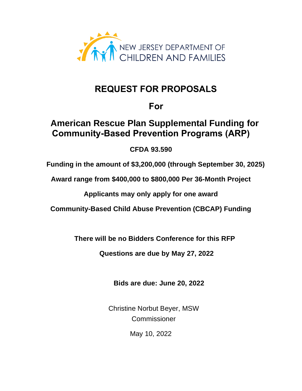

# **REQUEST FOR PROPOSALS**

# **For**

# **American Rescue Plan Supplemental Funding for Community-Based Prevention Programs (ARP)**

# **CFDA 93.590**

 **Funding in the amount of \$3,200,000 (through September 30, 2025)**

**Award range from \$400,000 to \$800,000 Per 36-Month Project**

**Applicants may only apply for one award**

**Community-Based Child Abuse Prevention (CBCAP) Funding**

 **There will be no Bidders Conference for this RFP**

 **Questions are due by May 27, 2022**

 **Bids are due: June 20, 2022**

 Christine Norbut Beyer, MSW Commissioner

May 10, 2022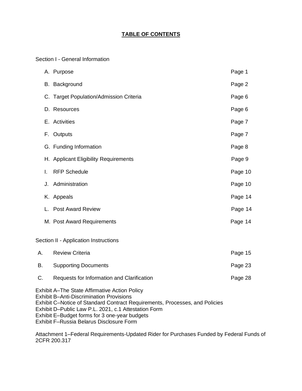# **TABLE OF CONTENTS**

Section I - General Information

|    | A. Purpose                                                                                                                                                                                                                                                                                                                                  | Page 1  |
|----|---------------------------------------------------------------------------------------------------------------------------------------------------------------------------------------------------------------------------------------------------------------------------------------------------------------------------------------------|---------|
|    | B. Background                                                                                                                                                                                                                                                                                                                               | Page 2  |
|    | C. Target Population/Admission Criteria                                                                                                                                                                                                                                                                                                     | Page 6  |
|    | D. Resources                                                                                                                                                                                                                                                                                                                                | Page 6  |
|    | E. Activities                                                                                                                                                                                                                                                                                                                               | Page 7  |
|    | F. Outputs                                                                                                                                                                                                                                                                                                                                  | Page 7  |
|    | G. Funding Information                                                                                                                                                                                                                                                                                                                      | Page 8  |
|    | H. Applicant Eligibility Requirements                                                                                                                                                                                                                                                                                                       | Page 9  |
| I. | <b>RFP Schedule</b>                                                                                                                                                                                                                                                                                                                         | Page 10 |
|    | J. Administration                                                                                                                                                                                                                                                                                                                           | Page 10 |
|    | K. Appeals                                                                                                                                                                                                                                                                                                                                  | Page 14 |
|    | L. Post Award Review                                                                                                                                                                                                                                                                                                                        | Page 14 |
|    | M. Post Award Requirements                                                                                                                                                                                                                                                                                                                  | Page 14 |
|    | Section II - Application Instructions                                                                                                                                                                                                                                                                                                       |         |
| А. | <b>Review Criteria</b>                                                                                                                                                                                                                                                                                                                      | Page 15 |
| В. | <b>Supporting Documents</b>                                                                                                                                                                                                                                                                                                                 | Page 23 |
| C. | Requests for Information and Clarification                                                                                                                                                                                                                                                                                                  | Page 28 |
|    | <b>Exhibit A-The State Affirmative Action Policy</b><br><b>Exhibit B-Anti-Discrimination Provisions</b><br>Exhibit C-Notice of Standard Contract Requirements, Processes, and Policies<br>Exhibit D-Public Law P.L. 2021, c.1 Attestation Form<br>Exhibit E-Budget forms for 3 one-year budgets<br>Exhibit F-Russia Belarus Disclosure Form |         |

Attachment 1–Federal Requirements-Updated Rider for Purchases Funded by Federal Funds of 2CFR 200.317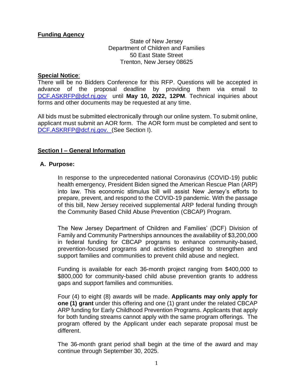# **Funding Agency**

State of New Jersey Department of Children and Families 50 East State Street Trenton, New Jersey 08625

### **Special Notice**:

There will be no Bidders Conference for this RFP. Questions will be accepted in advance of the proposal deadline by providing them via email to [DCF.ASKRFP@dcf.nj.gov](mailto:DCF.ASKRFP@dcf.nj.gov) until **May 10, 2022, 12PM**. Technical inquiries about forms and other documents may be requested at any time.

All bids must be submitted electronically through our online system. To submit online, applicant must submit an AOR form. The AOR form must be completed and sent to [DCF.ASKRFP@dcf.nj.gov.](mailto:DCF.ASKRFP@dcf.nj.gov) (See Section I).

### **Section I – General Information**

### **A. Purpose:**

In response to the unprecedented national Coronavirus (COVID-19) public health emergency, President Biden signed the American Rescue Plan (ARP) into law. This economic stimulus bill will assist New Jersey's efforts to prepare, prevent, and respond to the COVID-19 pandemic. With the passage of this bill, New Jersey received supplemental ARP federal funding through the Community Based Child Abuse Prevention (CBCAP) Program.

The New Jersey Department of Children and Families' (DCF) Division of Family and Community Partnerships announces the availability of \$3,200,000 in federal funding for CBCAP programs to enhance community-based, prevention-focused programs and activities designed to strengthen and support families and communities to prevent child abuse and neglect.

Funding is available for each 36-month project ranging from \$400,000 to \$800,000 for community-based child abuse prevention grants to address gaps and support families and communities.

Four (4) to eight (8) awards will be made. **Applicants may only apply for one (1) grant** under this offering and one (1) grant under the related CBCAP ARP funding for Early Childhood Prevention Programs. Applicants that apply for both funding streams cannot apply with the same program offerings. The program offered by the Applicant under each separate proposal must be different.

The 36-month grant period shall begin at the time of the award and may continue through September 30, 2025.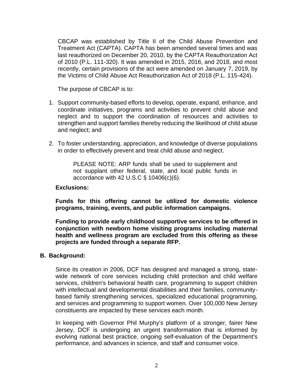CBCAP was established by Title II of the Child Abuse Prevention and Treatment Act (CAPTA). CAPTA has been amended several times and was last reauthorized on December 20, 2010, by the CAPTA Reauthorization Act of 2010 (P.L. 111-320). It was amended in 2015, 2016, and 2018, and most recently, certain provisions of the act were amended on January 7, 2019, by the Victims of Child Abuse Act Reauthorization Act of 2018 (P.L. 115-424).

The purpose of CBCAP is to:

- 1. Support community-based efforts to develop, operate, expand, enhance, and coordinate initiatives, programs and activities to prevent child abuse and neglect and to support the coordination of resources and activities to strengthen and support families thereby reducing the likelihood of child abuse and neglect; and
- 2. To foster understanding, appreciation, and knowledge of diverse populations in order to effectively prevent and treat child abuse and neglect.

PLEASE NOTE: ARP funds shall be used to supplement and not supplant other federal, state, and local public funds in accordance with 42 U.S.C § 10406(c)(6).

### **Exclusions:**

**Funds for this offering cannot be utilized for domestic violence programs, training, events, and public information campaigns.**

**Funding to provide early childhood supportive services to be offered in conjunction with newborn home visiting programs including maternal health and wellness program are excluded from this offering as these projects are funded through a separate RFP.**

### **B. Background:**

Since its creation in 2006, DCF has designed and managed a strong, statewide network of core services including child protection and child welfare services, children's behavioral health care, programming to support children with intellectual and developmental disabilities and their families, communitybased family strengthening services, specialized educational programming, and services and programming to support women. Over 100,000 New Jersey constituents are impacted by these services each month.

In keeping with Governor Phil Murphy's platform of a stronger, fairer New Jersey, DCF is undergoing an urgent transformation that is informed by evolving national best practice, ongoing self-evaluation of the Department's performance, and advances in science, and staff and consumer voice.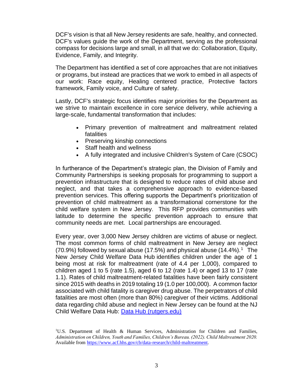DCF's vision is that all New Jersey residents are safe, healthy, and connected. DCF's values guide the work of the Department, serving as the professional compass for decisions large and small, in all that we do: Collaboration, Equity, Evidence, Family, and Integrity.

The Department has identified a set of core approaches that are not initiatives or programs, but instead are practices that we work to embed in all aspects of our work: Race equity, Healing centered practice, Protective factors framework, Family voice, and Culture of safety.

Lastly, DCF's strategic focus identifies major priorities for the Department as we strive to maintain excellence in core service delivery, while achieving a large-scale, fundamental transformation that includes:

- Primary prevention of maltreatment and maltreatment related fatalities
- Preserving kinship connections
- Staff health and wellness
- A fully integrated and inclusive Children's System of Care (CSOC)

In furtherance of the Department's strategic plan, the Division of Family and Community Partnerships is seeking proposals for programming to support a prevention infrastructure that is designed to reduce rates of child abuse and neglect, and that takes a comprehensive approach to evidence-based prevention services. This offering supports the Department's prioritization of prevention of child maltreatment as a transformational cornerstone for the child welfare system in New Jersey. This RFP provides communities with latitude to determine the specific prevention approach to ensure that community needs are met. Local partnerships are encouraged.

Every year, over 3,000 New Jersey children are victims of abuse or neglect. The most common forms of child maltreatment in New Jersey are neglect  $(70.9%)$  followed by sexual abuse  $(17.5%)$  and physical abuse  $(14.4%)$ .<sup>1</sup> The New Jersey Child Welfare Data Hub identifies children under the age of 1 being most at risk for maltreatment (rate of 4.4 per 1,000), compared to children aged 1 to 5 (rate 1.5), aged 6 to 12 (rate 1.4) or aged 13 to 17 (rate 1.1). Rates of child maltreatment-related fatalities have been fairly consistent since 2015 with deaths in 2019 totaling 19 (1.0 per 100,000). A common factor associated with child fatality is caregiver drug abuse. The perpetrators of child fatalities are most often (more than 80%) caregiver of their victims. Additional data regarding child abuse and neglect in New Jersey can be found at the NJ Child Welfare Data Hub: [Data Hub \(rutgers.edu\)](https://njchilddata.rutgers.edu/)

<sup>&</sup>lt;sup>1</sup>U.S. Department of Health & Human Services, Administration for Children and Families, *Administration on Children, Youth and Families, Children's Bureau. (2022). Child Maltreatment 2020.* Available from [https://www.acf.hhs.gov/cb/data-research/child-maltreatment.](https://www.acf.hhs.gov/cb/data-research/child-maltreatment)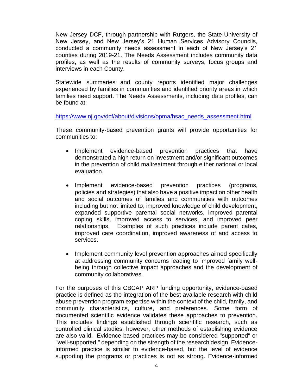New Jersey DCF, through partnership with Rutgers, the State University of New Jersey, and New Jersey's 21 Human Services Advisory Councils, conducted a community needs assessment in each of New Jersey's 21 counties during 2019-21. The Needs Assessment includes community data profiles, as well as the results of community surveys, focus groups and interviews in each County.

Statewide summaries and county reports identified major challenges experienced by families in communities and identified priority areas in which families need support. The Needs Assessments, including data profiles, can be found at:

[https://www.nj.gov/dcf/about/divisions/opma/hsac\\_needs\\_assessment.html](https://www.nj.gov/dcf/about/divisions/opma/hsac_needs_assessment.html)

These community-based prevention grants will provide opportunities for communities to:

- Implement evidence-based prevention practices that have demonstrated a high return on investment and/or significant outcomes in the prevention of child maltreatment through either national or local evaluation.
- Implement evidence-based prevention practices (programs, policies and strategies) that also have a positive impact on other health and social outcomes of families and communities with outcomes including but not limited to, improved knowledge of child development, expanded supportive parental social networks, improved parental coping skills, improved access to services, and improved peer relationships. Examples of such practices include parent cafes, improved care coordination, improved awareness of and access to services.
- Implement community level prevention approaches aimed specifically at addressing community concerns leading to improved family wellbeing through collective impact approaches and the development of community collaboratives.

For the purposes of this CBCAP ARP funding opportunity, evidence-based practice is defined as the integration of the best available research with child abuse prevention program expertise within the context of the child, family, and community characteristics, culture, and preferences. Some form of documented scientific evidence validates these approaches to prevention. This includes findings established through scientific research, such as controlled clinical studies; however, other methods of establishing evidence are also valid. Evidence-based practices may be considered "supported" or "well-supported," depending on the strength of the research design. Evidenceinformed practice is similar to evidence-based, but the level of evidence supporting the programs or practices is not as strong. Evidence-informed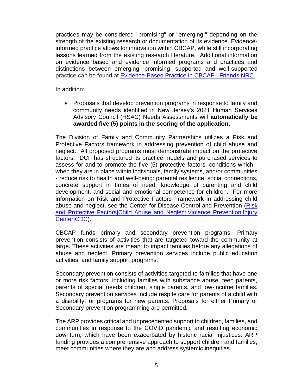practices may be considered "promising" or "emerging," depending on the strength of the existing research or documentation of its evidence. Evidenceinformed practice allows for innovation within CBCAP, while still incorporating lessons learned from the existing research literature. Additional information on evidence based and evidence informed programs and practices and distinctions between emerging, promising, supported and well-supported practice can be found at **Evidence-Based Practice in CBCAP | Friends NRC.** 

In addition:

• Proposals that develop prevention programs in response to family and community needs identified in New Jersey's 2021 Human Services Advisory Council (HSAC) Needs Assessments will **automatically be awarded five (5) points in the scoring of the application.**

The Division of Family and Community Partnerships utilizes a Risk and Protective Factors framework in addressing prevention of child abuse and neglect. All proposed programs must demonstrate impact on the protective factors. DCF has structured its practice models and purchased services to assess for and to promote the five (5) protective factors, conditions which when they are in place within individuals, family systems, and/or communities - reduce risk to health and well-being: parental resilience, social connections, concrete support in times of need, knowledge of parenting and child development, and social and emotional competence for children. For more information on Risk and Protective Factors Framework in addressing child abuse and neglect, see the Center for Disease Control and Prevention [\(Risk](https://www.cdc.gov/violenceprevention/childabuseandneglect/riskprotectivefactors.html)  [and Protective Factors|Child Abuse and Neglect|Violence Prevention|Injury](https://www.cdc.gov/violenceprevention/childabuseandneglect/riskprotectivefactors.html)  [Center|CDC\)](https://www.cdc.gov/violenceprevention/childabuseandneglect/riskprotectivefactors.html).

CBCAP funds primary and secondary prevention programs. Primary prevention consists of activities that are targeted toward the community at large. These activities are meant to impact families before any allegations of abuse and neglect. Primary prevention services include public education activities, and family support programs.

Secondary prevention consists of activities targeted to families that have one or more risk factors, including families with substance abuse, teen parents, parents of special needs children, single parents, and low-income families. Secondary prevention services include respite care for parents of a child with a disability, or programs for new parents. Proposals for either Primary or Secondary prevention programming are permitted.

The ARP provides critical and unprecedented support to children, families, and communities in response to the COVID pandemic and resulting economic downturn, which have been exacerbated by historic racial injustices. ARP funding provides a comprehensive approach to support children and families, meet communities where they are and address systemic inequities.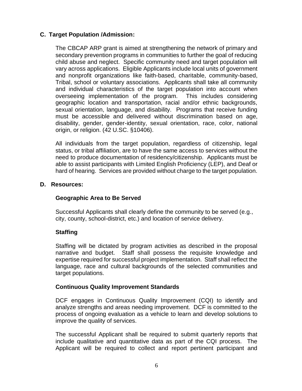# **C. Target Population /Admission:**

The CBCAP ARP grant is aimed at strengthening the network of primary and secondary prevention programs in communities to further the goal of reducing child abuse and neglect. Specific community need and target population will vary across applications. Eligible Applicants include local units of government and nonprofit organizations like faith-based, charitable, community-based, Tribal, school or voluntary associations. Applicants shall take all community and individual characteristics of the target population into account when overseeing implementation of the program. This includes considering geographic location and transportation, racial and/or ethnic backgrounds, sexual orientation, language, and disability. Programs that receive funding must be accessible and delivered without discrimination based on age, disability, gender, gender-identity, sexual orientation, race, color, national origin, or religion. (42 U.SC. §10406).

All individuals from the target population, regardless of citizenship, legal status, or tribal affiliation, are to have the same access to services without the need to produce documentation of residency/citizenship. Applicants must be able to assist participants with Limited English Proficiency (LEP), and Deaf or hard of hearing. Services are provided without charge to the target population.

### **D. Resources:**

### **Geographic Area to Be Served**

Successful Applicants shall clearly define the community to be served (e.g., city, county, school-district, etc.) and location of service delivery.

### **Staffing**

Staffing will be dictated by program activities as described in the proposal narrative and budget. Staff shall possess the requisite knowledge and expertise required for successful project implementation. Staff shall reflect the language, race and cultural backgrounds of the selected communities and target populations.

### **Continuous Quality Improvement Standards**

DCF engages in Continuous Quality Improvement (CQI) to identify and analyze strengths and areas needing improvement. DCF is committed to the process of ongoing evaluation as a vehicle to learn and develop solutions to improve the quality of services.

The successful Applicant shall be required to submit quarterly reports that include qualitative and quantitative data as part of the CQI process. The Applicant will be required to collect and report pertinent participant and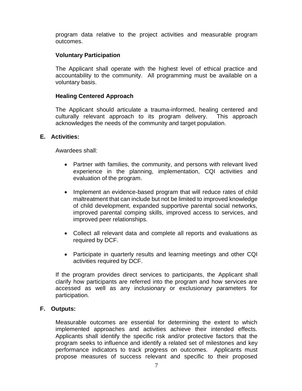program data relative to the project activities and measurable program outcomes.

### **Voluntary Participation**

The Applicant shall operate with the highest level of ethical practice and accountability to the community. All programming must be available on a voluntary basis.

### **Healing Centered Approach**

The Applicant should articulate a trauma-informed, healing centered and culturally relevant approach to its program delivery. This approach acknowledges the needs of the community and target population.

### **E. Activities:**

Awardees shall:

- Partner with families, the community, and persons with relevant lived experience in the planning, implementation, CQI activities and evaluation of the program.
- Implement an evidence-based program that will reduce rates of child maltreatment that can include but not be limited to improved knowledge of child development, expanded supportive parental social networks, improved parental comping skills, improved access to services, and improved peer relationships.
- Collect all relevant data and complete all reports and evaluations as required by DCF.
- Participate in quarterly results and learning meetings and other CQI activities required by DCF.

If the program provides direct services to participants, the Applicant shall clarify how participants are referred into the program and how services are accessed as well as any inclusionary or exclusionary parameters for participation.

### **F. Outputs:**

Measurable outcomes are essential for determining the extent to which implemented approaches and activities achieve their intended effects. Applicants shall identify the specific risk and/or protective factors that the program seeks to influence and identify a related set of milestones and key performance indicators to track progress on outcomes. Applicants must propose measures of success relevant and specific to their proposed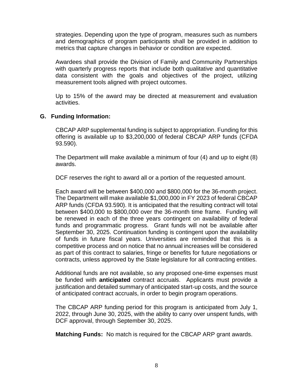strategies. Depending upon the type of program, measures such as numbers and demographics of program participants shall be provided in addition to metrics that capture changes in behavior or condition are expected.

Awardees shall provide the Division of Family and Community Partnerships with quarterly progress reports that include both qualitative and quantitative data consistent with the goals and objectives of the project, utilizing measurement tools aligned with project outcomes.

Up to 15% of the award may be directed at measurement and evaluation activities.

### **G. Funding Information:**

CBCAP ARP supplemental funding is subject to appropriation. Funding for this offering is available up to \$3,200,000 of federal CBCAP ARP funds (CFDA 93.590).

The Department will make available a minimum of four (4) and up to eight (8) awards.

DCF reserves the right to award all or a portion of the requested amount.

Each award will be between \$400,000 and \$800,000 for the 36-month project. The Department will make available \$1,000,000 in FY 2023 of federal CBCAP ARP funds (CFDA 93.590). It is anticipated that the resulting contract will total between \$400,000 to \$800,000 over the 36-month time frame. Funding will be renewed in each of the three years contingent on availability of federal funds and programmatic progress. Grant funds will not be available after September 30, 2025. Continuation funding is contingent upon the availability of funds in future fiscal years. Universities are reminded that this is a competitive process and on notice that no annual increases will be considered as part of this contract to salaries, fringe or benefits for future negotiations or contracts, unless approved by the State legislature for all contracting entities.

Additional funds are not available, so any proposed one-time expenses must be funded with **anticipated** contract accruals. Applicants must provide a justification and detailed summary of anticipated start-up costs, and the source of anticipated contract accruals, in order to begin program operations.

The CBCAP ARP funding period for this program is anticipated from July 1, 2022, through June 30, 2025, with the ability to carry over unspent funds, with DCF approval, through September 30, 2025.

**Matching Funds:** No match is required for the CBCAP ARP grant awards.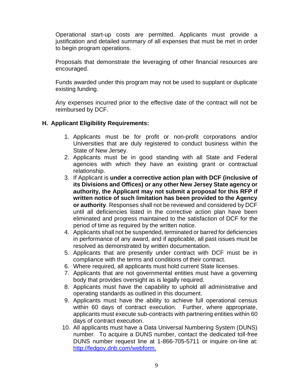Operational start-up costs are permitted. Applicants must provide a justification and detailed summary of all expenses that must be met in order to begin program operations.

Proposals that demonstrate the leveraging of other financial resources are encouraged.

Funds awarded under this program may not be used to supplant or duplicate existing funding.

Any expenses incurred prior to the effective date of the contract will not be reimbursed by DCF.

# **H. Applicant Eligibility Requirements:**

- 1. Applicants must be for profit or non-profit corporations and/or Universities that are duly registered to conduct business within the State of New Jersey.
- 2. Applicants must be in good standing with all State and Federal agencies with which they have an existing grant or contractual relationship.
- 3. If Applicant is **under a corrective action plan with DCF (inclusive of its Divisions and Offices) or any other New Jersey State agency or authority, the Applicant may not submit a proposal for this RFP if written notice of such limitation has been provided to the Agency or authority**. Responses shall not be reviewed and considered by DCF until all deficiencies listed in the corrective action plan have been eliminated and progress maintained to the satisfaction of DCF for the period of time as required by the written notice.
- 4. Applicants shall not be suspended, terminated or barred for deficiencies in performance of any award, and if applicable, all past issues must be resolved as demonstrated by written documentation.
- 5. Applicants that are presently under contract with DCF must be in compliance with the terms and conditions of their contract.
- 6. Where required, all applicants must hold current State licenses.
- 7. Applicants that are not governmental entities must have a governing body that provides oversight as is legally required.
- 8. Applicants must have the capability to uphold all administrative and operating standards as outlined in this document.
- 9. Applicants must have the ability to achieve full operational census within 60 days of contract execution. Further, where appropriate, applicants must execute sub-contracts with partnering entities within 60 days of contract execution.
- 10. All applicants must have a Data Universal Numbering System (DUNS) number. To acquire a DUNS number, contact the dedicated toll-free DUNS number request line at 1-866-705-5711 or inquire on-line at: [http://fedgov.dnb.com/webform.](http://fedgov.dnb.com/webform)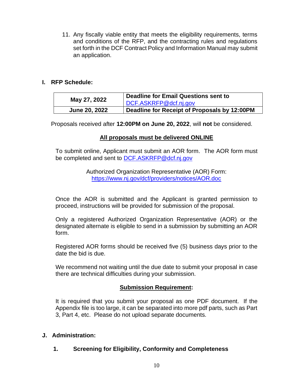11. Any fiscally viable entity that meets the eligibility requirements, terms and conditions of the RFP, and the contracting rules and regulations set forth in the DCF Contract Policy and Information Manual may submit an application.

### **I. RFP Schedule:**

| May 27, 2022         | Deadline for Email Questions sent to<br>DCF.ASKRFP@dcf.nj.gov |
|----------------------|---------------------------------------------------------------|
| <b>June 20, 2022</b> | Deadline for Receipt of Proposals by 12:00PM                  |

Proposals received after **12:00PM on June 20, 2022**, will **not** be considered.

# **All proposals must be delivered ONLINE**

To submit online, Applicant must submit an AOR form. The AOR form must be completed and sent to [DCF.ASKRFP@dcf.nj.gov](mailto:DCF.ASKRFP@dcf.nj.gov)

> Authorized Organization Representative (AOR) Form: https://www.nj.gov/dcf/providers/notices/AOR.doc

Once the AOR is submitted and the Applicant is granted permission to proceed, instructions will be provided for submission of the proposal.

Only a registered Authorized Organization Representative (AOR) or the designated alternate is eligible to send in a submission by submitting an AOR form.

Registered AOR forms should be received five (5) business days prior to the date the bid is due.

We recommend not waiting until the due date to submit your proposal in case there are technical difficulties during your submission.

### **Submission Requirement:**

It is required that you submit your proposal as one PDF document. If the Appendix file is too large, it can be separated into more pdf parts, such as Part 3, Part 4, etc. Please do not upload separate documents.

### **J. Administration:**

# **1. Screening for Eligibility, Conformity and Completeness**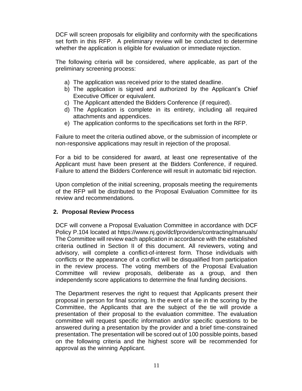DCF will screen proposals for eligibility and conformity with the specifications set forth in this RFP. A preliminary review will be conducted to determine whether the application is eligible for evaluation or immediate rejection.

The following criteria will be considered, where applicable, as part of the preliminary screening process:

- a) The application was received prior to the stated deadline.
- b) The application is signed and authorized by the Applicant's Chief Executive Officer or equivalent.
- c) The Applicant attended the Bidders Conference (if required).
- d) The Application is complete in its entirety, including all required attachments and appendices.
- e) The application conforms to the specifications set forth in the RFP.

Failure to meet the criteria outlined above, or the submission of incomplete or non-responsive applications may result in rejection of the proposal.

For a bid to be considered for award, at least one representative of the Applicant must have been present at the Bidders Conference, if required. Failure to attend the Bidders Conference will result in automatic bid rejection.

Upon completion of the initial screening, proposals meeting the requirements of the RFP will be distributed to the Proposal Evaluation Committee for its review and recommendations.

### **2. Proposal Review Process**

DCF will convene a Proposal Evaluation Committee in accordance with DCF Policy P.104 located at https://www.nj.gov/dcf/providers/contracting/manuals/ The Committee will review each application in accordance with the established criteria outlined in Section II of this document. All reviewers, voting and advisory, will complete a conflict-of-interest form. Those individuals with conflicts or the appearance of a conflict will be disqualified from participation in the review process. The voting members of the Proposal Evaluation Committee will review proposals, deliberate as a group, and then independently score applications to determine the final funding decisions.

The Department reserves the right to request that Applicants present their proposal in person for final scoring. In the event of a tie in the scoring by the Committee, the Applicants that are the subject of the tie will provide a presentation of their proposal to the evaluation committee. The evaluation committee will request specific information and/or specific questions to be answered during a presentation by the provider and a brief time-constrained presentation. The presentation will be scored out of 100 possible points, based on the following criteria and the highest score will be recommended for approval as the winning Applicant.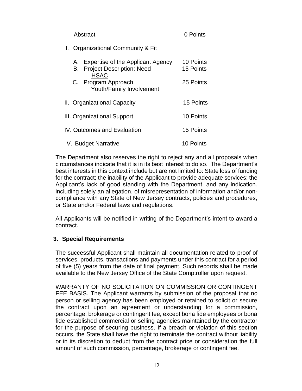| Abstract                                                                                   | 0 Points               |
|--------------------------------------------------------------------------------------------|------------------------|
| I. Organizational Community & Fit                                                          |                        |
| A. Expertise of the Applicant Agency<br><b>B.</b> Project Description: Need<br><b>HSAC</b> | 10 Points<br>15 Points |
| C. Program Approach<br><b>Youth/Family Involvement</b>                                     | 25 Points              |
| II. Organizational Capacity                                                                | 15 Points              |
| III. Organizational Support                                                                | 10 Points              |
| IV. Outcomes and Evaluation                                                                | 15 Points              |
| V. Budget Narrative                                                                        | 10 Points              |

The Department also reserves the right to reject any and all proposals when circumstances indicate that it is in its best interest to do so. The Department's best interests in this context include but are not limited to: State loss of funding for the contract; the inability of the Applicant to provide adequate services; the Applicant's lack of good standing with the Department, and any indication, including solely an allegation, of misrepresentation of information and/or noncompliance with any State of New Jersey contracts, policies and procedures, or State and/or Federal laws and regulations.

All Applicants will be notified in writing of the Department's intent to award a contract.

### **3. Special Requirements**

The successful Applicant shall maintain all documentation related to proof of services, products, transactions and payments under this contract for a period of five (5) years from the date of final payment. Such records shall be made available to the New Jersey Office of the State Comptroller upon request.

WARRANTY OF NO SOLICITATION ON COMMISSION OR CONTINGENT FEE BASIS. The Applicant warrants by submission of the proposal that no person or selling agency has been employed or retained to solicit or secure the contract upon an agreement or understanding for a commission, percentage, brokerage or contingent fee, except bona fide employees or bona fide established commercial or selling agencies maintained by the contractor for the purpose of securing business. If a breach or violation of this section occurs, the State shall have the right to terminate the contract without liability or in its discretion to deduct from the contract price or consideration the full amount of such commission, percentage, brokerage or contingent fee.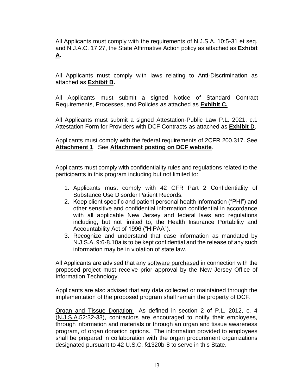All Applicants must comply with the requirements of N.J.S.A. 10:5-31 et seq. and N.J.A.C. 17:27, the State Affirmative Action policy as attached as **Exhibit A.**

All Applicants must comply with laws relating to Anti-Discrimination as attached as **Exhibit B.**

All Applicants must submit a signed Notice of Standard Contract Requirements, Processes, and Policies as attached as **Exhibit C.** 

All Applicants must submit a signed Attestation-Public Law P.L. 2021, c.1 Attestation Form for Providers with DCF Contracts as attached as **Exhibit D**.

Applicants must comply with the federal requirements of 2CFR 200.317. See **Attachment 1**. See **Attachment posting on DCF website**.

Applicants must comply with confidentiality rules and regulations related to the participants in this program including but not limited to:

- 1. Applicants must comply with 42 CFR Part 2 Confidentiality of Substance Use Disorder Patient Records.
- 2. Keep client specific and patient personal health information ("PHI") and other sensitive and confidential information confidential in accordance with all applicable New Jersey and federal laws and regulations including, but not limited to, the Health Insurance Portability and Accountability Act of 1996 ("HIPAA").
- 3. Recognize and understand that case information as mandated by N.J.S.A. 9:6-8.10a is to be kept confidential and the release of any such information may be in violation of state law.

All Applicants are advised that any software purchased in connection with the proposed project must receive prior approval by the New Jersey Office of Information Technology.

Applicants are also advised that any data collected or maintained through the implementation of the proposed program shall remain the property of DCF.

Organ and Tissue Donation: As defined in section 2 of P.L. 2012, c. 4 (N.J.S.A.52:32-33), contractors are encouraged to notify their employees, through information and materials or through an organ and tissue awareness program, of organ donation options. The information provided to employees shall be prepared in collaboration with the organ procurement organizations designated pursuant to 42 U.S.C. §1320b-8 to serve in this State.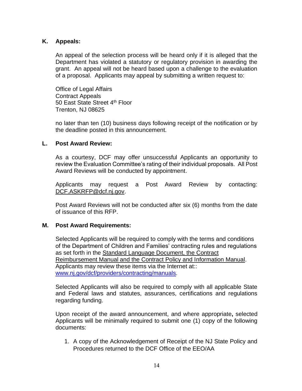### **K. Appeals:**

An appeal of the selection process will be heard only if it is alleged that the Department has violated a statutory or regulatory provision in awarding the grant. An appeal will not be heard based upon a challenge to the evaluation of a proposal. Applicants may appeal by submitting a written request to:

Office of Legal Affairs Contract Appeals 50 East State Street 4th Floor Trenton, NJ 08625

no later than ten (10) business days following receipt of the notification or by the deadline posted in this announcement.

### **L. Post Award Review:**

As a courtesy, DCF may offer unsuccessful Applicants an opportunity to review the Evaluation Committee's rating of their individual proposals. All Post Award Reviews will be conducted by appointment.

Applicants may request a Post Award Review by contacting: [DCF.ASKRFP@dcf.nj.gov.](mailto:DCF.ASKRFP@dcf.nj.gov)

Post Award Reviews will not be conducted after six (6) months from the date of issuance of this RFP.

### **M. Post Award Requirements:**

Selected Applicants will be required to comply with the terms and conditions of the Department of Children and Families' contracting rules and regulations as set forth in the Standard Language Document, the Contract Reimbursement Manual and the Contract Policy and Information Manual. Applicants may review these items via the Internet at:: [www.nj.gov/dcf/providers/contracting/manuals.](http://www.nj.gov/dcf/providers/contracting/manuals)

Selected Applicants will also be required to comply with all applicable State and Federal laws and statutes, assurances, certifications and regulations regarding funding.

Upon receipt of the award announcement, and where appropriate**,** selected Applicants will be minimally required to submit one (1) copy of the following documents:

1. A copy of the Acknowledgement of Receipt of the NJ State Policy and Procedures returned to the DCF Office of the EEO/AA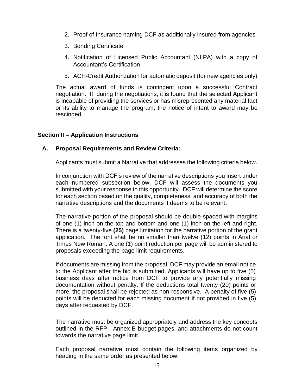- 2. Proof of Insurance naming DCF as additionally insured from agencies
- 3. Bonding Certificate
- 4. Notification of Licensed Public Accountant (NLPA) with a copy of Accountant's Certification
- 5. ACH-Credit Authorization for automatic deposit (for new agencies only)

The actual award of funds is contingent upon a successful Contract negotiation. If, during the negotiations, it is found that the selected Applicant is incapable of providing the services or has misrepresented any material fact or its ability to manage the program, the notice of intent to award may be rescinded.

# **Section II – Application Instructions**

### **A. Proposal Requirements and Review Criteria:**

Applicants must submit a Narrative that addresses the following criteria below.

In conjunction with DCF's review of the narrative descriptions you insert under each numbered subsection below, DCF will assess the documents you submitted with your response to this opportunity. DCF will determine the score for each section based on the quality, completeness, and accuracy of both the narrative descriptions and the documents it deems to be relevant.

The narrative portion of the proposal should be double-spaced with margins of one (1) inch on the top and bottom and one (1) inch on the left and right. There is a twenty-five **(25)** page limitation for the narrative portion of the grant application. The font shall be no smaller than twelve (12) points in Arial or Times New Roman. A one (1) point reduction per page will be administered to proposals exceeding the page limit requirements.

If documents are missing from the proposal, DCF may provide an email notice to the Applicant after the bid is submitted. Applicants will have up to five (5) business days after notice from DCF to provide any potentially missing documentation without penalty. If the deductions total twenty (20) points or more, the proposal shall be rejected as non-responsive. A penalty of five (5) points will be deducted for each missing document if not provided in five (5) days after requested by DCF.

The narrative must be organized appropriately and address the key concepts outlined in the RFP. Annex B budget pages, and attachments do not count towards the narrative page limit.

Each proposal narrative must contain the following items organized by heading in the same order as presented below: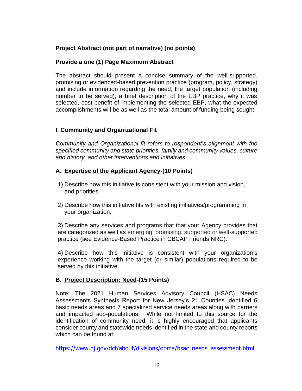# **Project Abstract (not part of narrative) (no points)**

# **Provide a one (1) Page Maximum Abstract**

The abstract should present a concise summary of the well-supported, promising or evidenced-based prevention practice (program, policy, strategy) and include information regarding the need, the target population (including number to be served), a brief description of the EBP practice, why it was selected, cost benefit of implementing the selected EBP, what the expected accomplishments will be as well as the total amount of funding being sought.

# **I. Community and Organizational Fit**

*Community and Organizational fit refers to respondent's alignment with the specified community and state priorities, family and community values, culture and history, and other interventions and initiatives.*

# **A. Expertise of the Applicant Agency-(10 Points)**

- 1) Describe how this initiative is consistent with your mission and vision, and priorities.
- 2) Describe how this initiative fits with existing initiatives/programming in your organization.

3) Describe any services and programs that that your Agency provides that are categorized as well as emerging, promising, supported or well-supported practice (see [Evidence-Based Practice in CBCAP Friends NRC\)](https://friendsnrc.org/evaluation/matrix-of-evidence-based-practice/).

4) Describe how this initiative is consistent with your organization's experience working with the target (or similar) populations required to be served by this initiative.

# **B. Project Description: Need-(15 Points)**

Note: The 2021 Human Services Advisory Council (HSAC) Needs Assessments Synthesis Report for New Jersey's 21 Counties identified 6 basic needs areas and 7 specialized service needs areas along with barriers and impacted sub-populations. While not limited to this source for the identification of community need, it is highly encouraged that applicants consider county and statewide needs identified in the state and county reports which can be found at:

[https://www.nj.gov/dcf/about/divisions/opma/hsac\\_needs\\_assessment.html](https://www.nj.gov/dcf/about/divisions/opma/hsac_needs_assessment.html)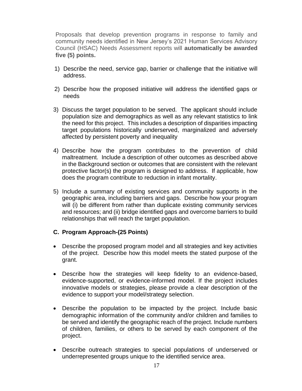Proposals that develop prevention programs in response to family and community needs identified in New Jersey's 2021 Human Services Advisory Council (HSAC) Needs Assessment reports will **automatically be awarded five (5) points.**

- 1) Describe the need, service gap, barrier or challenge that the initiative will address.
- 2) Describe how the proposed initiative will address the identified gaps or needs
- 3) Discuss the target population to be served. The applicant should include population size and demographics as well as any relevant statistics to link the need for this project. This includes a description of disparities impacting target populations historically underserved, marginalized and adversely affected by persistent poverty and inequality
- 4) Describe how the program contributes to the prevention of child maltreatment. Include a description of other outcomes as described above in the Background section or outcomes that are consistent with the relevant protective factor(s) the program is designed to address. If applicable, how does the program contribute to reduction in infant mortality.
- 5) Include a summary of existing services and community supports in the geographic area, including barriers and gaps. Describe how your program will (i) be different from rather than duplicate existing community services and resources; and (ii) bridge identified gaps and overcome barriers to build relationships that will reach the target population.

### **C. Program Approach-(25 Points)**

- Describe the proposed program model and all strategies and key activities of the project. Describe how this model meets the stated purpose of the grant.
- Describe how the strategies will keep fidelity to an evidence-based, evidence-supported, or evidence-informed model. If the project includes innovative models or strategies, please provide a clear description of the evidence to support your model/strategy selection.
- Describe the population to be impacted by the project. Include basic demographic information of the community and/or children and families to be served and identify the geographic reach of the project. Include numbers of children, families, or others to be served by each component of the project.
- Describe outreach strategies to special populations of underserved or underrepresented groups unique to the identified service area.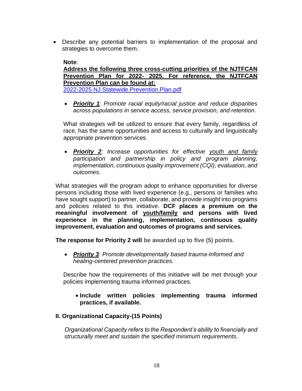• Describe any potential barriers to implementation of the proposal and strategies to overcome them.

**Note**: **Address the following three cross-cutting priorities of the NJTFCAN Prevention Plan for 2022- 2025. For reference, the NJTFCAN Prevention Plan can be found at:** [2022-2025.NJ.Statewide.Prevention.Plan.pdf](https://www.nj.gov/dcf/news/reportsnewsletters/taskforce/2022-2025.NJ.Statewide.Prevention.Plan.pdf)

• *Priority 1: Promote racial equity/racial justice and reduce disparities across populations in service access, service provision, and retention.* 

What strategies will be utilized to ensure that every family, regardless of race, has the same opportunities and access to culturally and linguistically appropriate prevention services.

• *Priority 2: Increase opportunities for effective youth and family participation and partnership in policy and program planning, implementation, continuous quality improvement (CQI), evaluation, and outcomes*.

What strategies will the program adopt to enhance opportunities for diverse persons including those with lived experience (e.g., persons or families who have sought support) to partner, collaborate, and provide insight into programs and policies related to this initiative. **DCF places a premium on the meaningful involvement of youth/family and persons with lived experience in the planning, implementation, continuous quality improvement, evaluation and outcomes of programs and services.** 

**The response for Priority 2 will be awarded up to five (5) points.**

• *Priority 3: Promote developmentally based trauma-Informed and healing-centered prevention practices.*

Describe how the requirements of this initiative will be met through your policies implementing trauma informed practices.

• **Include written policies implementing trauma informed practices, if available.**

# **II. Organizational Capacity-(15 Points)**

*Organizational Capacity refers to the Respondent's ability to financially and structurally meet and sustain the specified minimum requirements.*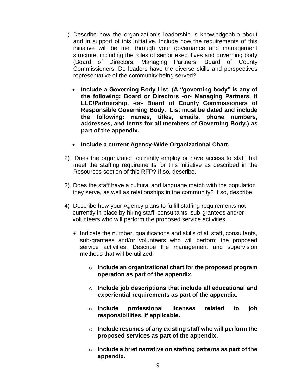- 1) Describe how the organization's leadership is knowledgeable about and in support of this initiative. Include how the requirements of this initiative will be met through your governance and management structure, including the roles of senior executives and governing body (Board of Directors, Managing Partners, Board of County Commissioners. Do leaders have the diverse skills and perspectives representative of the community being served?
	- **Include a Governing Body List. (A "governing body" is any of the following: Board or Directors -or- Managing Partners, if LLC/Partnership, -or- Board of County Commissioners of Responsible Governing Body. List must be dated and include the following: names, titles, emails, phone numbers, addresses, and terms for all members of Governing Body.) as part of the appendix.**
	- **Include a current Agency-Wide Organizational Chart.**
- 2) Does the organization currently employ or have access to staff that meet the staffing requirements for this initiative as described in the Resources section of this RFP? If so, describe.
- 3) Does the staff have a cultural and language match with the population they serve, as well as relationships in the community? If so, describe.
- 4) Describe how your Agency plans to fulfill staffing requirements not currently in place by hiring staff, consultants, sub-grantees and/or volunteers who will perform the proposed service activities.
	- Indicate the number, qualifications and skills of all staff, consultants, sub-grantees and/or volunteers who will perform the proposed service activities. Describe the management and supervision methods that will be utilized.
		- o **Include an organizational chart for the proposed program operation as part of the appendix.**
		- o **Include job descriptions that include all educational and experiential requirements as part of the appendix.**
		- o **Include professional licenses related to job responsibilities, if applicable.**
		- o **Include resumes of any existing staff who will perform the proposed services as part of the appendix.**
		- o **Include a brief narrative on staffing patterns as part of the appendix.**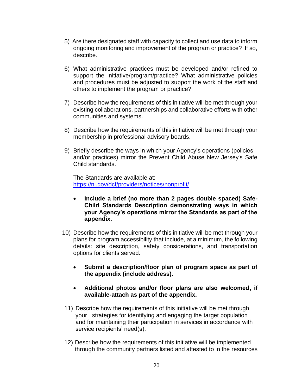- 5) Are there designated staff with capacity to collect and use data to inform ongoing monitoring and improvement of the program or practice? If so, describe.
- 6) What administrative practices must be developed and/or refined to support the initiative/program/practice? What administrative policies and procedures must be adjusted to support the work of the staff and others to implement the program or practice?
- 7) Describe how the requirements of this initiative will be met through your existing collaborations, partnerships and collaborative efforts with other communities and systems.
- 8) Describe how the requirements of this initiative will be met through your membership in professional advisory boards.
- 9) Briefly describe the ways in which your Agency's operations (policies and/or practices) mirror the Prevent Child Abuse New Jersey's Safe Child standards.

The Standards are available at: <https://nj.gov/dcf/providers/notices/nonprofit/>

- **Include a brief (no more than 2 pages double spaced) Safe-Child Standards Description demonstrating ways in which your Agency's operations mirror the Standards as part of the appendix.**
- 10) Describe how the requirements of this initiative will be met through your plans for program accessibility that include, at a minimum, the following details: site description, safety considerations, and transportation options for clients served.
	- **Submit a description/floor plan of program space as part of the appendix (include address).**
	- **Additional photos and/or floor plans are also welcomed, if available-attach as part of the appendix.**
- 11) Describe how the requirements of this initiative will be met through your strategies for identifying and engaging the target population and for maintaining their participation in services in accordance with service recipients' need(s).
- 12) Describe how the requirements of this initiative will be implemented through the community partners listed and attested to in the resources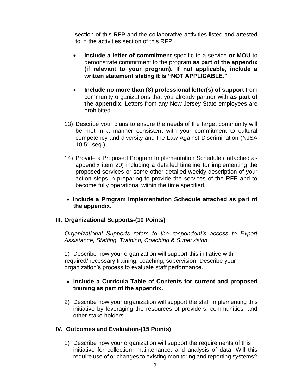section of this RFP and the collaborative activities listed and attested to in the activities section of this RFP.

- **Include a letter of commitment** specific to a service **or MOU** to demonstrate commitment to the program **as part of the appendix (if relevant to your program). If not applicable, include a written statement stating it is "NOT APPLICABLE."**
- **Include no more than (8) professional letter(s) of support** from community organizations that you already partner with **as part of the appendix.** Letters from any New Jersey State employees are prohibited.
- 13) Describe your plans to ensure the needs of the target community will be met in a manner consistent with your commitment to cultural competency and diversity and the Law Against Discrimination (NJSA 10:51 seq.).
- 14) Provide a Proposed Program Implementation Schedule ( attached as appendix item 20) including a detailed timeline for implementing the proposed services or some other detailed weekly description of your action steps in preparing to provide the services of the RFP and to become fully operational within the time specified.
- **Include a Program Implementation Schedule attached as part of the appendix.**

### **III. Organizational Supports-(10 Points)**

*Organizational Supports refers to the respondent's access to Expert Assistance, Staffing, Training, Coaching & Supervision.*

1) Describe how your organization will support this initiative with required/necessary training, coaching, supervision. Describe your organization's process to evaluate staff performance.

### • **Include a Curricula Table of Contents for current and proposed training as part of the appendix.**

2) Describe how your organization will support the staff implementing this initiative by leveraging the resources of providers; communities; and other stake holders.

### **IV. Outcomes and Evaluation-(15 Points)**

1) Describe how your organization will support the requirements of this initiative for collection, maintenance, and analysis of data. Will this require use of or changes to existing monitoring and reporting systems?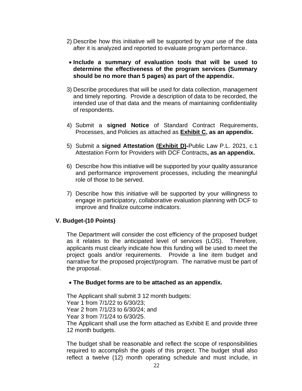- 2) Describe how this initiative will be supported by your use of the data after it is analyzed and reported to evaluate program performance.
- **Include a summary of evaluation tools that will be used to determine the effectiveness of the program services (Summary should be no more than 5 pages) as part of the appendix.**
- 3) Describe procedures that will be used for data collection, management and timely reporting. Provide a description of data to be recorded, the intended use of that data and the means of maintaining confidentiality of respondents.
- 4) Submit a **signed Notice** of Standard Contract Requirements, Processes, and Policies as attached as **Exhibit C, as an appendix.**
- 5) Submit a **signed Attestation (Exhibit D)-**Public Law P.L. 2021, c.1 Attestation Form for Providers with DCF Contracts**, as an appendix.**
- 6) Describe how this initiative will be supported by your quality assurance and performance improvement processes, including the meaningful role of those to be served.
- 7) Describe how this initiative will be supported by your willingness to engage in participatory, collaborative evaluation planning with DCF to improve and finalize outcome indicators.

### **V. Budget-(10 Points)**

The Department will consider the cost efficiency of the proposed budget as it relates to the anticipated level of services (LOS). Therefore, applicants must clearly indicate how this funding will be used to meet the project goals and/or requirements. Provide a line item budget and narrative for the proposed project/program. The narrative must be part of the proposal.

### • **The Budget forms are to be attached as an appendix.**

The Applicant shall submit 3 12 month budgets: Year 1 from 7/1/22 to 6/30/23; Year 2 from 7/1/23 to 6/30/24; and Year 3 from 7/1/24 to 6/30/25. The Applicant shall use the form attached as Exhibit E and provide three 12 month budgets.

The budget shall be reasonable and reflect the scope of responsibilities required to accomplish the goals of this project. The budget shall also reflect a twelve (12) month operating schedule and must include, in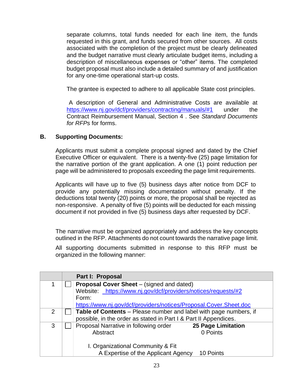separate columns, total funds needed for each line item, the funds requested in this grant, and funds secured from other sources. All costs associated with the completion of the project must be clearly delineated and the budget narrative must clearly articulate budget items, including a description of miscellaneous expenses or "other" items. The completed budget proposal must also include a detailed summary of and justification for any one-time operational start-up costs.

The grantee is expected to adhere to all applicable State cost principles.

A description of General and Administrative Costs are available at <https://www.nj.gov/dcf/providers/contracting/manuals/#1> under the Contract Reimbursement Manual, Section 4 . See *Standard Documents for RFPs* for forms.

# **B. Supporting Documents:**

Applicants must submit a complete proposal signed and dated by the Chief Executive Officer or equivalent. There is a twenty-five (25) page limitation for the narrative portion of the grant application. A one (1) point reduction per page will be administered to proposals exceeding the page limit requirements.

Applicants will have up to five (5) business days after notice from DCF to provide any potentially missing documentation without penalty. If the deductions total twenty (20) points or more, the proposal shall be rejected as non-responsive. A penalty of five (5) points will be deducted for each missing document if not provided in five (5) business days after requested by DCF.

The narrative must be organized appropriately and address the key concepts outlined in the RFP. Attachments do not count towards the narrative page limit.

All supporting documents submitted in response to this RFP must be organized in the following manner:

|   | Part I: Proposal                                                   |  |  |
|---|--------------------------------------------------------------------|--|--|
|   | <b>Proposal Cover Sheet</b> – (signed and dated)                   |  |  |
|   | Website: https://www.nj.gov/dcf/providers/notices/requests/#2      |  |  |
|   | Form:                                                              |  |  |
|   | https://www.nj.gov/dcf/providers/notices/Proposal.Cover.Sheet.doc  |  |  |
| 2 | Table of Contents – Please number and label with page numbers, if  |  |  |
|   | possible, in the order as stated in Part I & Part II Appendices.   |  |  |
| 3 | Proposal Narrative in following order<br><b>25 Page Limitation</b> |  |  |
|   | Abstract<br>0 Points                                               |  |  |
|   |                                                                    |  |  |
|   | I. Organizational Community & Fit                                  |  |  |
|   | A Expertise of the Applicant Agency<br>10 Points                   |  |  |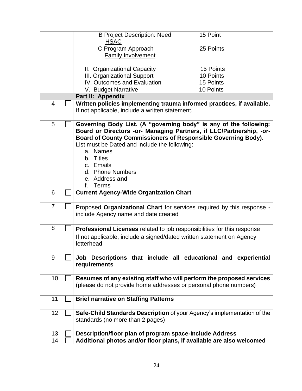|                | <b>B Project Description: Need</b><br><b>HSAC</b>                                                                                                                                                                                                                                                                                                  | 15 Point  |
|----------------|----------------------------------------------------------------------------------------------------------------------------------------------------------------------------------------------------------------------------------------------------------------------------------------------------------------------------------------------------|-----------|
|                | C Program Approach                                                                                                                                                                                                                                                                                                                                 | 25 Points |
|                | <b>Family Involvement</b>                                                                                                                                                                                                                                                                                                                          |           |
|                | II. Organizational Capacity                                                                                                                                                                                                                                                                                                                        | 15 Points |
|                | III. Organizational Support                                                                                                                                                                                                                                                                                                                        | 10 Points |
|                | IV. Outcomes and Evaluation                                                                                                                                                                                                                                                                                                                        | 15 Points |
|                | V. Budget Narrative                                                                                                                                                                                                                                                                                                                                | 10 Points |
|                | Part II: Appendix                                                                                                                                                                                                                                                                                                                                  |           |
| $\overline{4}$ | Written policies implementing trauma informed practices, if available.<br>If not applicable, include a written statement.                                                                                                                                                                                                                          |           |
| 5              | Governing Body List. (A "governing body" is any of the following:<br>Board or Directors -or- Managing Partners, if LLC/Partnership, -or-<br>Board of County Commissioners of Responsible Governing Body).<br>List must be Dated and include the following:<br>a. Names<br>b. Titles<br>c. Emails<br>d. Phone Numbers<br>e. Address and<br>f. Terms |           |
| 6              | <b>Current Agency-Wide Organization Chart</b>                                                                                                                                                                                                                                                                                                      |           |
| $\overline{7}$ | Proposed Organizational Chart for services required by this response -<br>include Agency name and date created                                                                                                                                                                                                                                     |           |
| 8              | <b>Professional Licenses</b> related to job responsibilities for this response                                                                                                                                                                                                                                                                     |           |
|                | If not applicable, include a signed/dated written statement on Agency<br>letterhead                                                                                                                                                                                                                                                                |           |
| 9              | Job Descriptions that include all educational and experiential<br>requirements                                                                                                                                                                                                                                                                     |           |
| 10             | Resumes of any existing staff who will perform the proposed services<br>(please do not provide home addresses or personal phone numbers)                                                                                                                                                                                                           |           |
| 11             | <b>Brief narrative on Staffing Patterns</b>                                                                                                                                                                                                                                                                                                        |           |
| 12             | Safe-Child Standards Description of your Agency's implementation of the<br>standards (no more than 2 pages)                                                                                                                                                                                                                                        |           |
| 13             | Description/floor plan of program space-Include Address                                                                                                                                                                                                                                                                                            |           |
| 14             | Additional photos and/or floor plans, if available are also welcomed                                                                                                                                                                                                                                                                               |           |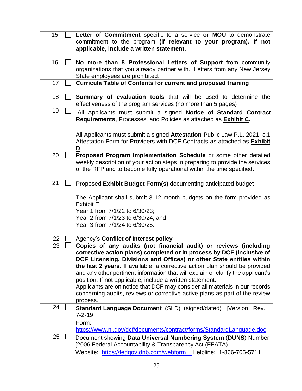| 15 | Letter of Commitment specific to a service or MOU to demonstrate<br>commitment to the program (if relevant to your program). If not<br>applicable, include a written statement.                                                                                                                                                                                                                                                                                                                                                                                                                                             |
|----|-----------------------------------------------------------------------------------------------------------------------------------------------------------------------------------------------------------------------------------------------------------------------------------------------------------------------------------------------------------------------------------------------------------------------------------------------------------------------------------------------------------------------------------------------------------------------------------------------------------------------------|
| 16 | No more than 8 Professional Letters of Support from community<br>organizations that you already partner with. Letters from any New Jersey<br>State employees are prohibited.                                                                                                                                                                                                                                                                                                                                                                                                                                                |
| 17 | <b>Curricula Table of Contents for current and proposed training</b>                                                                                                                                                                                                                                                                                                                                                                                                                                                                                                                                                        |
| 18 | Summary of evaluation tools that will be used to determine the<br>effectiveness of the program services (no more than 5 pages)                                                                                                                                                                                                                                                                                                                                                                                                                                                                                              |
| 19 | All Applicants must submit a signed Notice of Standard Contract<br>Requirements, Processes, and Policies as attached as <b>Exhibit C.</b>                                                                                                                                                                                                                                                                                                                                                                                                                                                                                   |
|    | All Applicants must submit a signed Attestation-Public Law P.L. 2021, c.1<br>Attestation Form for Providers with DCF Contracts as attached as Exhibit<br>D.                                                                                                                                                                                                                                                                                                                                                                                                                                                                 |
| 20 | Proposed Program Implementation Schedule or some other detailed<br>weekly description of your action steps in preparing to provide the services<br>of the RFP and to become fully operational within the time specified.                                                                                                                                                                                                                                                                                                                                                                                                    |
| 21 | Proposed Exhibit Budget Form(s) documenting anticipated budget<br>The Applicant shall submit 3 12 month budgets on the form provided as<br>Exhibit E:<br>Year 1 from 7/1/22 to 6/30/23;<br>Year 2 from 7/1/23 to 6/30/24; and<br>Year 3 from 7/1/24 to 6/30/25.                                                                                                                                                                                                                                                                                                                                                             |
| 22 | Agency's Conflict of Interest policy                                                                                                                                                                                                                                                                                                                                                                                                                                                                                                                                                                                        |
| 23 | Copies of any audits (not financial audit) or reviews (including<br>corrective action plans) completed or in process by DCF (inclusive of<br>DCF Licensing, Divisions and Offices) or other State entities within<br>the last 2 years. If available, a corrective action plan should be provided<br>and any other pertinent information that will explain or clarify the applicant's<br>position. If not applicable, include a written statement.<br>Applicants are on notice that DCF may consider all materials in our records<br>concerning audits, reviews or corrective active plans as part of the review<br>process. |
| 24 | Standard Language Document (SLD) (signed/dated) [Version: Rev.<br>$7 - 2 - 19$<br>Form:<br>https://www.nj.gov/dcf/documents/contract/forms/StandardLanguage.doc                                                                                                                                                                                                                                                                                                                                                                                                                                                             |
| 25 | Document showing Data Universal Numbering System (DUNS) Number<br>[2006 Federal Accountability & Transparency Act (FFATA)<br>Website: https://fedgov.dnb.com/webform Helpline: 1-866-705-5711                                                                                                                                                                                                                                                                                                                                                                                                                               |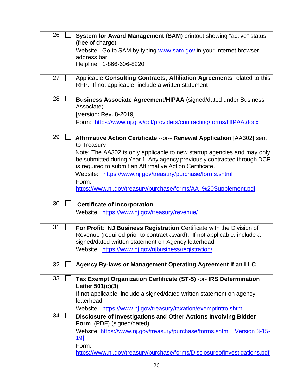| 26 | System for Award Management (SAM) printout showing "active" status<br>(free of charge)<br>Website: Go to SAM by typing www.sam.gov in your Internet browser<br>address bar<br>Helpline: 1-866-606-8220                                                                                                                                                                                                                                             |
|----|----------------------------------------------------------------------------------------------------------------------------------------------------------------------------------------------------------------------------------------------------------------------------------------------------------------------------------------------------------------------------------------------------------------------------------------------------|
| 27 | Applicable Consulting Contracts, Affiliation Agreements related to this<br>RFP. If not applicable, include a written statement                                                                                                                                                                                                                                                                                                                     |
| 28 | <b>Business Associate Agreement/HIPAA</b> (signed/dated under Business<br>Associate)<br>[Version: Rev. 8-2019]<br>Form: https://www.nj.gov/dcf/providers/contracting/forms/HIPAA.docx                                                                                                                                                                                                                                                              |
| 29 | Affirmative Action Certificate -- or-- Renewal Application [AA302] sent<br>to Treasury<br>Note: The AA302 is only applicable to new startup agencies and may only<br>be submitted during Year 1. Any agency previously contracted through DCF<br>is required to submit an Affirmative Action Certificate.<br>Website: https://www.nj.gov/treasury/purchase/forms.shtml<br>Form:<br>https://www.nj.gov/treasury/purchase/forms/AA_%20Supplement.pdf |
| 30 | <b>Certificate of Incorporation</b><br>Website: https://www.nj.gov/treasury/revenue/                                                                                                                                                                                                                                                                                                                                                               |
| 31 | <b>For Profit: NJ Business Registration Certificate with the Division of</b><br>Revenue (required prior to contract award). If not applicable, include a<br>signed/dated written statement on Agency letterhead.<br>Website: https://www.nj.gov/njbusiness/registration/                                                                                                                                                                           |
| 32 | Agency By-laws or Management Operating Agreement if an LLC                                                                                                                                                                                                                                                                                                                                                                                         |
| 33 | Tax Exempt Organization Certificate (ST-5) - or- IRS Determination<br>Letter 501(c)(3)<br>If not applicable, include a signed/dated written statement on agency<br>letterhead<br>Website: https://www.nj.gov/treasury/taxation/exemptintro.shtml                                                                                                                                                                                                   |
| 34 | Disclosure of Investigations and Other Actions Involving Bidder<br>Form (PDF) (signed/dated)<br>Website: https://www.nj.gov/treasury/purchase/forms.shtml [Version 3-15-<br><u>191</u><br>Form:<br>https://www.nj.gov/treasury/purchase/forms/DisclosureofInvestigations.pdf                                                                                                                                                                       |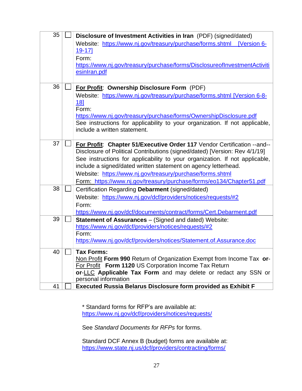| 35 | Disclosure of Investment Activities in Iran (PDF) (signed/dated)<br>Website: https://www.nj.gov/treasury/purchase/forms.shtml [Version 6-<br>$19 - 17$<br>Form:<br>https://www.nj.gov/treasury/purchase/forms/DisclosureoflnvestmentActiviti<br>esinIran.pdf                                                                                                                                                                                 |
|----|----------------------------------------------------------------------------------------------------------------------------------------------------------------------------------------------------------------------------------------------------------------------------------------------------------------------------------------------------------------------------------------------------------------------------------------------|
| 36 | For Profit: Ownership Disclosure Form (PDF)<br>Website: https://www.nj.gov/treasury/purchase/forms.shtml [Version 6-8-<br>18]<br>Form:<br>https://www.nj.gov/treasury/purchase/forms/OwnershipDisclosure.pdf<br>See instructions for applicability to your organization. If not applicable,<br>include a written statement.                                                                                                                  |
| 37 | For Profit: Chapter 51/Executive Order 117 Vendor Certification -- and--<br>Disclosure of Political Contributions (signed/dated) [Version: Rev 4/1/19]<br>See instructions for applicability to your organization. If not applicable,<br>include a signed/dated written statement on agency letterhead.<br>Website: https://www.nj.gov/treasury/purchase/forms.shtml<br>Form: https://www.nj.gov/treasury/purchase/forms/eo134/Chapter51.pdf |
| 38 | Certification Regarding Debarment (signed/dated)<br>Website: https://www.nj.gov/dcf/providers/notices/requests/#2<br>Form:<br>https://www.nj.gov/dcf/documents/contract/forms/Cert.Debarment.pdf                                                                                                                                                                                                                                             |
| 39 | <b>Statement of Assurances</b> – (Signed and dated) Website:<br>https://www.nj.gov/dcf/providers/notices/requests/#2<br>Form:<br>https://www.nj.gov/dcf/providers/notices/Statement.of.Assurance.doc                                                                                                                                                                                                                                         |
| 40 | <b>Tax Forms:</b><br>Non Profit Form 990 Return of Organization Exempt from Income Tax or-<br>For Profit Form 1120 US Corporation Income Tax Return<br>or-LLC Applicable Tax Form and may delete or redact any SSN or<br>personal information                                                                                                                                                                                                |
| 41 | <b>Executed Russia Belarus Disclosure form provided as Exhibit F</b>                                                                                                                                                                                                                                                                                                                                                                         |

\* Standard forms for RFP's are available at: <https://www.nj.gov/dcf/providers/notices/requests/>

See *Standard Documents for RFPs* for forms.

Standard DCF Annex B (budget) forms are available at: <https://www.state.nj.us/dcf/providers/contracting/forms/>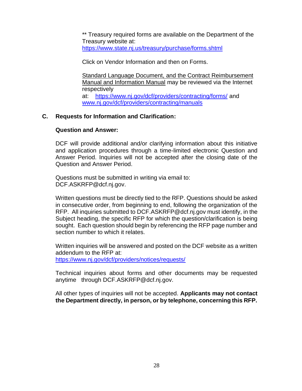\*\* Treasury required forms are available on the Department of the Treasury website at: <https://www.state.nj.us/treasury/purchase/forms.shtml>

Click on Vendor Information and then on Forms.

Standard Language Document, and the Contract Reimbursement Manual and Information Manual may be reviewed via the Internet respectively at: <https://www.nj.gov/dcf/providers/contracting/forms/> and [www.nj.gov/dcf/providers/contracting/manuals](http://www.nj.gov/dcf/providers/contracting/manuals)

# **C. Requests for Information and Clarification:**

### **Question and Answer:**

DCF will provide additional and/or clarifying information about this initiative and application procedures through a time-limited electronic Question and Answer Period. Inquiries will not be accepted after the closing date of the Question and Answer Period.

Questions must be submitted in writing via email to: DCF.ASKRFP@dcf.nj.gov.

Written questions must be directly tied to the RFP. Questions should be asked in consecutive order, from beginning to end, following the organization of the RFP. All inquiries submitted to DCF.ASKRFP@dcf.nj.gov must identify, in the Subject heading, the specific RFP for which the question/clarification is being sought. Each question should begin by referencing the RFP page number and section number to which it relates.

Written inquiries will be answered and posted on the DCF website as a written addendum to the RFP at: <https://www.nj.gov/dcf/providers/notices/requests/>

Technical inquiries about forms and other documents may be requested anytime through DCF.ASKRFP@dcf.nj.gov.

All other types of inquiries will not be accepted. **Applicants may not contact the Department directly, in person, or by telephone, concerning this RFP.**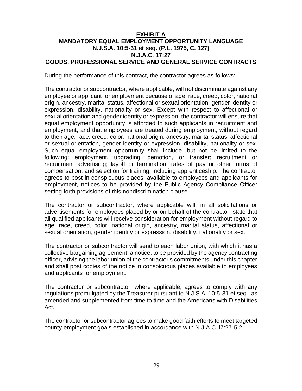### **EXHIBIT A MANDATORY EQUAL EMPLOYMENT OPPORTUNITY LANGUAGE N.J.S.A. 10:5-31 et seq. (P.L. 1975, C. 127) N.J.A.C. 17:27 GOODS, PROFESSIONAL SERVICE AND GENERAL SERVICE CONTRACTS**

During the performance of this contract, the contractor agrees as follows:

The contractor or subcontractor, where applicable, will not discriminate against any employee or applicant for employment because of age, race, creed, color, national origin, ancestry, marital status, affectional or sexual orientation, gender identity or expression, disability, nationality or sex. Except with respect to affectional or sexual orientation and gender identity or expression, the contractor will ensure that equal employment opportunity is afforded to such applicants in recruitment and employment, and that employees are treated during employment, without regard to their age, race, creed, color, national origin, ancestry, marital status, affectional or sexual orientation, gender identity or expression, disability, nationality or sex. Such equal employment opportunity shall include, but not be limited to the following: employment, upgrading, demotion, or transfer; recruitment or recruitment advertising; layoff or termination; rates of pay or other forms of compensation; and selection for training, including apprenticeship. The contractor agrees to post in conspicuous places, available to employees and applicants for employment, notices to be provided by the Public Agency Compliance Officer setting forth provisions of this nondiscrimination clause.

The contractor or subcontractor, where applicable will, in all solicitations or advertisements for employees placed by or on behalf of the contractor, state that all qualified applicants will receive consideration for employment without regard to age, race, creed, color, national origin, ancestry, marital status, affectional or sexual orientation, gender identity or expression, disability, nationality or sex.

The contractor or subcontractor will send to each labor union, with which it has a collective bargaining agreement, a notice, to be provided by the agency contracting officer, advising the labor union of the contractor's commitments under this chapter and shall post copies of the notice in conspicuous places available to employees and applicants for employment.

The contractor or subcontractor, where applicable, agrees to comply with any regulations promulgated by the Treasurer pursuant to N.J.S.A. 10:5-31 et seq., as amended and supplemented from time to time and the Americans with Disabilities Act.

The contractor or subcontractor agrees to make good faith efforts to meet targeted county employment goals established in accordance with N.J.A.C. l7:27-5.2.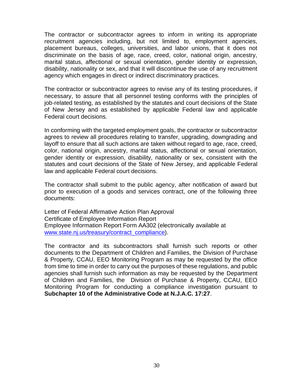The contractor or subcontractor agrees to inform in writing its appropriate recruitment agencies including, but not limited to, employment agencies, placement bureaus, colleges, universities, and labor unions, that it does not discriminate on the basis of age, race, creed, color, national origin, ancestry, marital status, affectional or sexual orientation, gender identity or expression, disability, nationality or sex, and that it will discontinue the use of any recruitment agency which engages in direct or indirect discriminatory practices.

The contractor or subcontractor agrees to revise any of its testing procedures, if necessary, to assure that all personnel testing conforms with the principles of job-related testing, as established by the statutes and court decisions of the State of New Jersey and as established by applicable Federal law and applicable Federal court decisions.

In conforming with the targeted employment goals, the contractor or subcontractor agrees to review all procedures relating to transfer, upgrading, downgrading and layoff to ensure that all such actions are taken without regard to age, race, creed, color, national origin, ancestry, marital status, affectional or sexual orientation, gender identity or expression, disability, nationality or sex, consistent with the statutes and court decisions of the State of New Jersey, and applicable Federal law and applicable Federal court decisions.

The contractor shall submit to the public agency, after notification of award but prior to execution of a goods and services contract, one of the following three documents:

Letter of Federal Affirmative Action Plan Approval Certificate of Employee Information Report Employee Information Report Form AA302 (electronically available at [www.state.nj.us/treasury/contract\\_compliance\)](http://www.state.nj.us/treasury/contract_compliance).

The contractor and its subcontractors shall furnish such reports or other documents to the Department of Children and Families, the Division of Purchase & Property, CCAU, EEO Monitoring Program as may be requested by the office from time to time in order to carry out the purposes of these regulations, and public agencies shall furnish such information as may be requested by the Department of Children and Families, the Division of Purchase & Property, CCAU, EEO Monitoring Program for conducting a compliance investigation pursuant to **Subchapter 10 of the Administrative Code at N.J.A.C. 17:27**.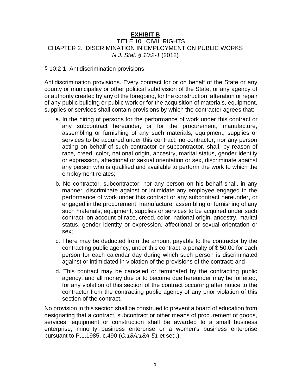### **EXHIBIT B** TITLE 10. CIVIL RIGHTS CHAPTER 2. DISCRIMINATION IN EMPLOYMENT ON PUBLIC WORKS *N.J. Stat. § 10:2-1* (2012)

### § 10:2-1. Antidiscrimination provisions

Antidiscrimination provisions. Every contract for or on behalf of the State or any county or municipality or other political subdivision of the State, or any agency of or authority created by any of the foregoing, for the construction, alteration or repair of any public building or public work or for the acquisition of materials, equipment, supplies or services shall contain provisions by which the contractor agrees that:

- a. In the hiring of persons for the performance of work under this contract or any subcontract hereunder, or for the procurement, manufacture, assembling or furnishing of any such materials, equipment, supplies or services to be acquired under this contract, no contractor, nor any person acting on behalf of such contractor or subcontractor, shall, by reason of race, creed, color, national origin, ancestry, marital status, gender identity or expression, affectional or sexual orientation or sex, discriminate against any person who is qualified and available to perform the work to which the employment relates;
- b. No contractor, subcontractor, nor any person on his behalf shall, in any manner, discriminate against or intimidate any employee engaged in the performance of work under this contract or any subcontract hereunder, or engaged in the procurement, manufacture, assembling or furnishing of any such materials, equipment, supplies or services to be acquired under such contract, on account of race, creed, color, national origin, ancestry, marital status, gender identity or expression, affectional or sexual orientation or sex;
- c. There may be deducted from the amount payable to the contractor by the contracting public agency, under this contract, a penalty of \$ 50.00 for each person for each calendar day during which such person is discriminated against or intimidated in violation of the provisions of the contract; and
- d. This contract may be canceled or terminated by the contracting public agency, and all money due or to become due hereunder may be forfeited, for any violation of this section of the contract occurring after notice to the contractor from the contracting public agency of any prior violation of this section of the contract.

No provision in this section shall be construed to prevent a board of education from designating that a contract, subcontract or other means of procurement of goods, services, equipment or construction shall be awarded to a small business enterprise, minority business enterprise or a women's business enterprise pursuant to P.L.1985, c.490 (*C.18A:18A-51* et seq.).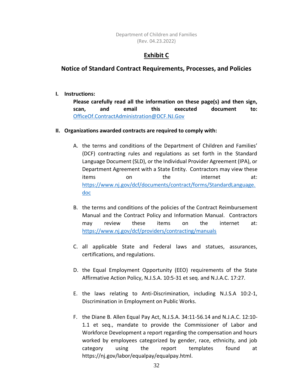Department of Children and Families (Rev. 04.23.2022)

# **Exhibit C**

# **Notice of Standard Contract Requirements, Processes, and Policies**

**I. Instructions:**

**Please carefully read all the information on these page(s) and then sign, scan, and email this executed document to:** [OfficeOf.ContractAdministration@DCF.NJ.Gov](mailto:OfficeOf.ContractAdministration@DCF.NJ.Gov)

### **II. Organizations awarded contracts are required to comply with:**

- A. the terms and conditions of the Department of Children and Families' (DCF) contracting rules and regulations as set forth in the Standard Language Document (SLD), or the Individual Provider Agreement (IPA), or Department Agreement with a State Entity. Contractors may view these items on the internet at: [https://www.nj.gov/dcf/documents/contract/forms/StandardLanguage.](https://www.nj.gov/dcf/documents/contract/forms/StandardLanguage.doc) [doc](https://www.nj.gov/dcf/documents/contract/forms/StandardLanguage.doc)
- B. the terms and conditions of the policies of the Contract Reimbursement Manual and the Contract Policy and Information Manual. Contractors may review these items on the internet at: <https://www.nj.gov/dcf/providers/contracting/manuals>
- C. all applicable State and Federal laws and statues, assurances, certifications, and regulations.
- D. the Equal Employment Opportunity (EEO) requirements of the State Affirmative Action Policy, N.J.S.A. 10:5-31 et seq. and N.J.A.C. 17:27.
- E. the laws relating to Anti-Discrimination, including N.J.S.A 10:2-1, Discrimination in Employment on Public Works.
- F. the Diane B. Allen Equal Pay Act, N.J.S.A. 34:11-56.14 and N.J.A.C. 12:10- 1.1 et seq., mandate to provide the Commissioner of Labor and Workforce Development a report regarding the compensation and hours worked by employees categorized by gender, race, ethnicity, and job category using the report templates found at https://nj.gov/labor/equalpay/equalpay.html.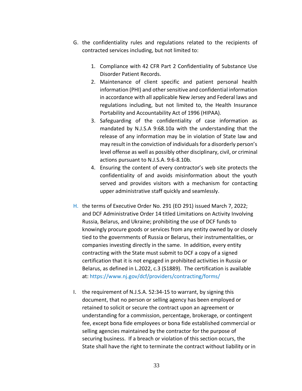- G. the confidentiality rules and regulations related to the recipients of contracted services including, but not limited to:
	- 1. Compliance with 42 CFR Part 2 Confidentiality of Substance Use Disorder Patient Records.
	- 2. Maintenance of client specific and patient personal health information (PHI) and other sensitive and confidential information in accordance with all applicable New Jersey and Federal laws and regulations including, but not limited to, the Health Insurance Portability and Accountability Act of 1996 (HIPAA).
	- 3. Safeguarding of the confidentiality of case information as mandated by N.J.S.A 9:68.10a with the understanding that the release of any information may be in violation of State law and may result in the conviction of individuals for a disorderly person's level offense as well as possibly other disciplinary, civil, or criminal actions pursuant to N.J.S.A. 9:6-8.10b.
	- 4. Ensuring the content of every contractor's web site protects the confidentiality of and avoids misinformation about the youth served and provides visitors with a mechanism for contacting upper administrative staff quickly and seamlessly.
- H. the terms of Executive Order No. 291 (EO 291) issued March 7, 2022; and DCF Administrative Order 14 titled Limitations on Activity Involving Russia, Belarus, and Ukraine; prohibiting the use of DCF funds to knowingly procure goods or services from any entity owned by or closely tied to the governments of Russia or Belarus, their instrumentalities, or companies investing directly in the same. In addition, every entity contracting with the State must submit to DCF a copy of a signed certification that it is not engaged in prohibited activities in Russia or Belarus, as defined in L.2022, c.3 (S1889). The certification is available at: https://www.nj.gov/dcf/providers/contracting/forms/
- I. the requirement of N.J.S.A. 52:34-15 to warrant, by signing this document, that no person or selling agency has been employed or retained to solicit or secure the contract upon an agreement or understanding for a commission, percentage, brokerage, or contingent fee, except bona fide employees or bona fide established commercial or selling agencies maintained by the contractor for the purpose of securing business. If a breach or violation of this section occurs, the State shall have the right to terminate the contract without liability or in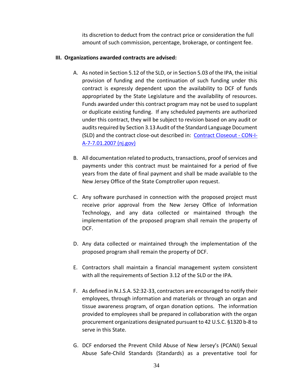its discretion to deduct from the contract price or consideration the full amount of such commission, percentage, brokerage, or contingent fee.

### **III. Organizations awarded contracts are advised:**

- A. As noted in Section 5.12 of the SLD, or in Section 5.03 of the IPA, the initial provision of funding and the continuation of such funding under this contract is expressly dependent upon the availability to DCF of funds appropriated by the State Legislature and the availability of resources. Funds awarded under this contract program may not be used to supplant or duplicate existing funding. If any scheduled payments are authorized under this contract, they will be subject to revision based on any audit or audits required by Section 3.13 Audit of the Standard Language Document (SLD) and the contract close-out described in: [Contract Closeout -](https://www.nj.gov/dcf/policy_manuals/CON-I-A-7-7.01.2007_issuance.shtml) CON-I-[A-7-7.01.2007 \(nj.gov\)](https://www.nj.gov/dcf/policy_manuals/CON-I-A-7-7.01.2007_issuance.shtml)
- B. All documentation related to products, transactions, proof of services and payments under this contract must be maintained for a period of five years from the date of final payment and shall be made available to the New Jersey Office of the State Comptroller upon request.
- C. Any software purchased in connection with the proposed project must receive prior approval from the New Jersey Office of Information Technology, and any data collected or maintained through the implementation of the proposed program shall remain the property of DCF.
- D. Any data collected or maintained through the implementation of the proposed program shall remain the property of DCF.
- E. Contractors shall maintain a financial management system consistent with all the requirements of Section 3.12 of the SLD or the IPA.
- F. As defined in N.J.S.A. 52:32-33, contractors are encouraged to notify their employees, through information and materials or through an organ and tissue awareness program, of organ donation options. The information provided to employees shall be prepared in collaboration with the organ procurement organizations designated pursuant to 42 U.S.C. §1320 b-8 to serve in this State.
- G. DCF endorsed the Prevent Child Abuse of New Jersey's (PCANJ) Sexual Abuse Safe-Child Standards (Standards) as a preventative tool for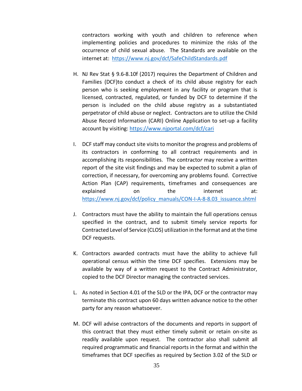contractors working with youth and children to reference when implementing policies and procedures to minimize the risks of the occurrence of child sexual abuse. The Standards are available on the internet at: <https://www.nj.gov/dcf/SafeChildStandards.pdf>

- H. NJ Rev Stat § 9.6-8.10f (2017) requires the Department of Children and Families (DCF)to conduct a check of its child abuse registry for each person who is seeking employment in any facility or program that is licensed, contracted, regulated, or funded by DCF to determine if the person is included on the child abuse registry as a substantiated perpetrator of child abuse or neglect. Contractors are to utilize the Child Abuse Record Information (CARI) Online Application to set-up a facility account by visiting:<https://www.njportal.com/dcf/cari>
- I. DCF staff may conduct site visits to monitor the progress and problems of its contractors in conforming to all contract requirements and in accomplishing its responsibilities. The contracto*r* may receive a written report of the site visit findings and may be expected to submit a plan of correction, if necessary, for overcoming any problems found. Corrective Action Plan (CAP) requirements, timeframes and consequences are explained on the internet at: [https://www.nj.gov/dcf/policy\\_manuals/CON-I-A-8-8.03\\_issuance.shtml](https://www.nj.gov/dcf/policy_manuals/CON-I-A-8-8.03_issuance.shtml)
- J. Contractors must have the ability to maintain the full operations census specified in the contract, and to submit timely service reports for Contracted Level of Service (CLOS) utilization in the format and at the time DCF requests.
- K. Contractors awarded contracts must have the ability to achieve full operational census within the time DCF specifies. Extensions may be available by way of a written request to the Contract Administrator, copied to the DCF Director managing the contracted services.
- L. As noted in Section 4.01 of the SLD or the IPA, DCF or the contractor may terminate this contract upon 60 days written advance notice to the other party for any reason whatsoever.
- M. DCF will advise contractors of the documents and reports in support of this contract that they must either timely submit or retain on-site as readily available upon request. The contractor also shall submit all required programmatic and financial reports in the format and within the timeframes that DCF specifies as required by Section 3.02 of the SLD or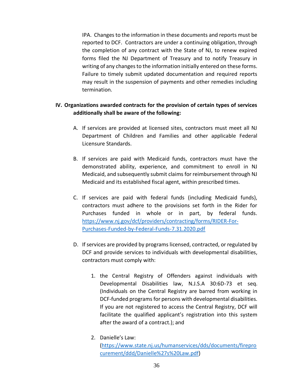IPA. Changes to the information in these documents and reports must be reported to DCF. Contractors are under a continuing obligation, through the completion of any contract with the State of NJ, to renew expired forms filed the NJ Department of Treasury and to notify Treasury in writing of any changes to the information initially entered on these forms. Failure to timely submit updated documentation and required reports may result in the suspension of payments and other remedies including termination.

# **IV. Organizations awarded contracts for the provision of certain types of services additionally shall be aware of the following:**

- A. If services are provided at licensed sites, contractors must meet all NJ Department of Children and Families and other applicable Federal Licensure Standards.
- B. If services are paid with Medicaid funds, contractors must have the demonstrated ability, experience, and commitment to enroll in NJ Medicaid, and subsequently submit claims for reimbursement through NJ Medicaid and its established fiscal agent, within prescribed times.
- C. If services are paid with federal funds (including Medicaid funds), contractors must adhere to the provisions set forth in the Rider for Purchases funded in whole or in part, by federal funds. [https://www.nj.gov/dcf/providers/contracting/forms/RIDER-For-](https://www.nj.gov/dcf/providers/contracting/forms/RIDER-For-Purchases-Funded-by-Federal-Funds-7.31.2020.pdf)[Purchases-Funded-by-Federal-Funds-7.31.2020.pdf](https://www.nj.gov/dcf/providers/contracting/forms/RIDER-For-Purchases-Funded-by-Federal-Funds-7.31.2020.pdf)
- D. If services are provided by programs licensed, contracted, or regulated by DCF and provide services to individuals with developmental disabilities, contractors must comply with:
	- 1. the Central Registry of Offenders against individuals with Developmental Disabilities law, N.J.S.A 30:6D-73 et seq. (Individuals on the Central Registry are barred from working in DCF-funded programs for persons with developmental disabilities. If you are not registered to access the Central Registry, DCF will facilitate the qualified applicant's registration into this system after the award of a contract.); and
	- 2. Danielle's Law: [\(https://www.state.nj.us/humanservices/dds/documents/firepro](https://www.state.nj.us/humanservices/dds/documents/fireprocurement/ddd/Danielle%27s%20Law.pdf) [curement/ddd/Danielle%27s%20Law.pdf\)](https://www.state.nj.us/humanservices/dds/documents/fireprocurement/ddd/Danielle%27s%20Law.pdf)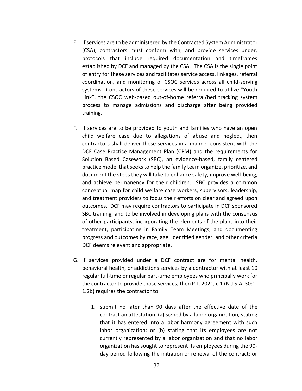- E. If services are to be administered by the Contracted System Administrator (CSA), contractors must conform with, and provide services under, protocols that include required documentation and timeframes established by DCF and managed by the CSA. The CSA is the single point of entry for these services and facilitates service access, linkages, referral coordination, and monitoring of CSOC services across all child-serving systems. Contractors of these services will be required to utilize "Youth Link", the CSOC web-based out-of-home referral/bed tracking system process to manage admissions and discharge after being provided training.
- F. If services are to be provided to youth and families who have an open child welfare case due to allegations of abuse and neglect, then contractors shall deliver these services in a manner consistent with the DCF Case Practice Management Plan (CPM) and the requirements for Solution Based Casework (SBC), an evidence-based, family centered practice model that seeks to help the family team organize, prioritize, and document the steps they will take to enhance safety, improve well-being, and achieve permanency for their children. SBC provides a common conceptual map for child welfare case workers, supervisors, leadership, and treatment providers to focus their efforts on clear and agreed upon outcomes. DCF may require contractors to participate in DCF sponsored SBC training, and to be involved in developing plans with the consensus of other participants, incorporating the elements of the plans into their treatment, participating in Family Team Meetings, and documenting progress and outcomes by race, age, identified gender, and other criteria DCF deems relevant and appropriate.
- G. If services provided under a DCF contract are for mental health, behavioral health, or addictions services by a contractor with at least 10 regular full-time or regular part-time employees who principally work for the contractor to provide those services, then P.L. 2021, c.1 (N.J.S.A. 30:1- 1.2b) requires the contractor to:
	- 1. submit no later than 90 days after the effective date of the contract an attestation: (a) signed by a labor organization, stating that it has entered into a labor harmony agreement with such labor organization; or (b) stating that its employees are not currently represented by a labor organization and that no labor organization has sought to represent its employees during the 90 day period following the initiation or renewal of the contract; or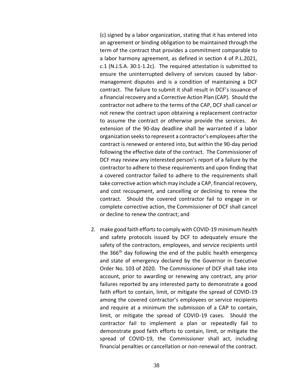(c) signed by a labor organization, stating that it has entered into an agreement or binding obligation to be maintained through the term of the contract that provides a commitment comparable to a labor harmony agreement, as defined in section 4 of P.L.2021, c.1 (N.J.S.A. 30:1-1.2c). The required attestation is submitted to ensure the uninterrupted delivery of services caused by labormanagement disputes and is a condition of maintaining a DCF contract. The failure to submit it shall result in DCF's issuance of a financial recovery and a Corrective Action Plan (CAP). Should the contractor not adhere to the terms of the CAP, DCF shall cancel or not renew the contract upon obtaining a replacement contractor to assume the contract or otherwise provide the services. An extension of the 90-day deadline shall be warranted if a labor organization seeks to represent a contractor's employees after the contract is renewed or entered into, but within the 90-day period following the effective date of the contract. The Commissioner of DCF may review any interested person's report of a failure by the contractor to adhere to these requirements and upon finding that a covered contractor failed to adhere to the requirements shall take corrective action which may include a CAP, financial recovery, and cost recoupment, and cancelling or declining to renew the contract. Should the covered contractor fail to engage in or complete corrective action, the Commissioner of DCF shall cancel or decline to renew the contract; and

2. make good faith efforts to comply with COVID-19 minimum health and safety protocols issued by DCF to adequately ensure the safety of the contractors, employees, and service recipients until the 366<sup>th</sup> day following the end of the public health emergency and state of emergency declared by the Governor in Executive Order No. 103 of 2020. The Commissioner of DCF shall take into account, prior to awarding or renewing any contract, any prior failures reported by any interested party to demonstrate a good faith effort to contain, limit, or mitigate the spread of COVID-19 among the covered contractor's employees or service recipients and require at a minimum the submission of a CAP to contain, limit, or mitigate the spread of COVID-19 cases. Should the contractor fail to implement a plan or repeatedly fail to demonstrate good faith efforts to contain, limit, or mitigate the spread of COVID-19, the Commissioner shall act, including financial penalties or cancellation or non-renewal of the contract.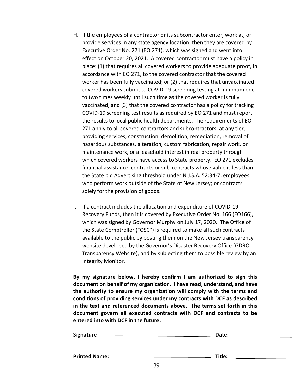- H. If the employees of a contractor or its subcontractor enter, work at, or provide services in any state agency location, then they are covered by Executive Order No. 271 (EO 271), which was signed and went into effect on October 20, 2021. A covered contractor must have a policy in place: (1) that requires all covered workers to provide adequate proof, in accordance with EO 271, to the covered contractor that the covered worker has been fully vaccinated; or (2) that requires that unvaccinated covered workers submit to COVID-19 screening testing at minimum one to two times weekly until such time as the covered worker is fully vaccinated; and (3) that the covered contractor has a policy for tracking COVID-19 screening test results as required by EO 271 and must report the results to local public health departments. The requirements of EO 271 apply to all covered contractors and subcontractors, at any tier, providing services, construction, demolition, remediation, removal of hazardous substances, alteration, custom fabrication, repair work, or maintenance work, or a leasehold interest in real property through which covered workers have access to State property. EO 271 excludes financial assistance; contracts or sub-contracts whose value is less than the State bid Advertising threshold under N.J.S.A. 52:34-7; employees who perform work outside of the State of New Jersey; or contracts solely for the provision of goods.
- I. If a contract includes the allocation and expenditure of COVID-19 Recovery Funds, then it is covered by Executive Order No. 166 (EO166), which was signed by Governor Murphy on July 17, 2020. The Office of the State Comptroller ("OSC") is required to make all such contracts available to the public by posting them on the New Jersey transparency website developed by the Governor's Disaster Recovery Office (GDRO Transparency Website), and by subjecting them to possible review by an Integrity Monitor.

**By my signature below, I hereby confirm I am authorized to sign this document on behalf of my organization. I have read, understand, and have the authority to ensure my organization will comply with the terms and conditions of providing services under my contracts with DCF as described in the text and referenced documents above. The terms set forth in this document govern all executed contracts with DCF and contracts to be entered into with DCF in the future.**

| Signature            |    | Date:  |  |
|----------------------|----|--------|--|
|                      |    |        |  |
| <b>Printed Name:</b> |    | Title: |  |
|                      | 20 |        |  |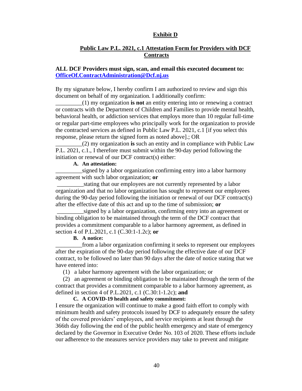#### **Exhibit D**

### **Public Law P.L. 2021, c.1 Attestation Form for Providers with DCF Contracts**

### **ALL DCF Providers must sign, scan, and email this executed document to: [OfficeOf.ContractAdministration@Dcf.nj.us](mailto:OfficeOf.ContractAdministration@Dcf.nj.us)**

By my signature below, I hereby confirm I am authorized to review and sign this document on behalf of my organization. I additionally confirm:

\_\_\_\_\_\_\_\_\_(1) my organization **is not** an entity entering into or renewing a contract or contracts with the Department of Children and Families to provide mental health, behavioral health, or addiction services that employs more than 10 regular full-time or regular part-time employees who principally work for the organization to provide the contracted services as defined in Public Law P.L. 2021, c.1 [if you select this response, please return the signed form as noted above].; OR

\_\_\_\_\_\_\_\_\_(2) my organization **is** such an entity and in compliance with Public Law P.L. 2021, c.1., I therefore must submit within the 90-day period following the initiation or renewal of our DCF contract(s) either:

### **A. An attestation:**

\_\_\_\_\_\_\_\_\_signed by a labor organization confirming entry into a labor harmony agreement with such labor organization; **or**

stating that our employees are not currently represented by a labor organization and that no labor organization has sought to represent our employees during the 90-day period following the initiation or renewal of our DCF contract(s) after the effective date of this act and up to the time of submission; **or**

signed by a labor organization, confirming entry into an agreement or binding obligation to be maintained through the term of the DCF contract that provides a commitment comparable to a labor harmony agreement, as defined in section 4 of P.L.2021, c.1 (C.30:1-1.2c); **or**

#### **B. A notice:**

from a labor organization confirming it seeks to represent our employees after the expiration of the 90-day period following the effective date of our DCF contract, to be followed no later than 90 days after the date of notice stating that we have entered into:

(1) a labor harmony agreement with the labor organization; or

 (2) an agreement or binding obligation to be maintained through the term of the contract that provides a commitment comparable to a labor harmony agreement, as defined in section 4 of P.L.2021, c.1 (C.30:1-1.2c); **and** 

#### **C. A COVID-19 health and safety commitment:**

I ensure the organization will continue to make a good faith effort to comply with minimum health and safety protocols issued by DCF to adequately ensure the safety of the covered providers' employees, and service recipients at least through the 366th day following the end of the public health emergency and state of emergency declared by the Governor in Executive Order No. 103 of 2020. These efforts include our adherence to the measures service providers may take to prevent and mitigate